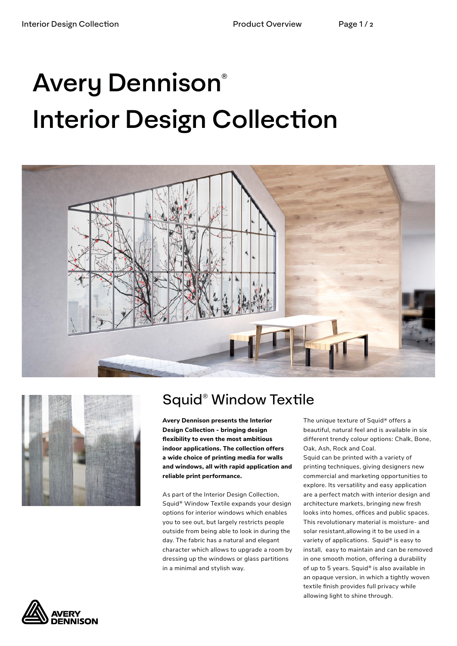





# Squid® Window Textile

**Avery Dennison presents the Interior Design Collection - bringing design flexibility to even the most ambitious indoor applications. The collection offers a wide choice of printing media for walls and windows, all with rapid application and reliable print performance.** 

As part of the Interior Design Collection, Squid**®** Window Textile expands your design options for interior windows which enables you to see out, but largely restricts people outside from being able to look in during the day. The fabric has a natural and elegant character which allows to upgrade a room by dressing up the windows or glass partitions in a minimal and stylish way.

The unique texture of Squid**®** offers a beautiful, natural feel and is available in six different trendy colour options: Chalk, Bone, Oak, Ash, Rock and Coal.

Squid can be printed with a variety of printing techniques, giving designers new commercial and marketing opportunities to explore. Its versatility and easy application are a perfect match with interior design and architecture markets, bringing new fresh looks into homes, offices and public spaces. This revolutionary material is moisture- and solar resistant,allowing it to be used in a variety of applications. Squid**®** is easy to install, easy to maintain and can be removed in one smooth motion, offering a durability of up to 5 years. Squid**®** is also available in an opaque version, in which a tightly woven textile finish provides full privacy while allowing light to shine through.